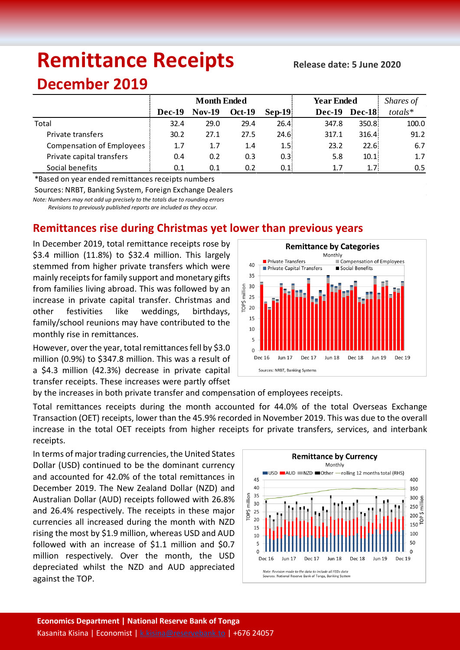# **Remittance Receipts**

#### **Release date: 5 June 2020**

## **December 2019**

|                                  | <b>Month Ended</b> |               |               |               | <b>Year Ended</b> | Shares of        |         |
|----------------------------------|--------------------|---------------|---------------|---------------|-------------------|------------------|---------|
|                                  | Dec-19             | <b>Nov-19</b> | <b>Oct-19</b> | <b>Sep-19</b> | <b>Dec-19</b>     | <b>Dec-18</b>    | totals* |
| Total                            | 32.4               | 29.0          | 29.4          | 26.4!         | 347.8             | 350.8            | 100.0   |
| Private transfers                | 30.2               | 27.1          | 27.5          | 24.6          | 317.1             | 316.4            | 91.2    |
| <b>Compensation of Employees</b> | 1.7                | 1.7           | 1.4           | 1.5!          | 23.2              | 22.6             | 6.7     |
| Private capital transfers        | 0.4                | 0.2           | 0.3           | 0.3!          | 5.8               | 10.1             | 1.7     |
| Social benefits                  | 0.1                | 0.1           | 0.2           | 0.11          | 1.7               | 1.7 <sup>1</sup> | 0.5     |

\*Based on year ended remittances receipts numbers

Sources: NRBT, Banking System, Foreign Exchange Dealers

*Note: Numbers may not add up precisely to the totals due to rounding errors*

 *Revisions to previously published reports are included as they occur.*

### **Remittances rise during Christmas yet lower than previous years**

In December 2019, total remittance receipts rose by \$3.4 million (11.8%) to \$32.4 million. This largely stemmed from higher private transfers which were mainly receipts for family support and monetary gifts from families living abroad. This was followed by an increase in private capital transfer. Christmas and other festivities like weddings, birthdays, family/school reunions may have contributed to the monthly rise in remittances.

However, over the year, total remittances fell by \$3.0 million (0.9%) to \$347.8 million. This was a result of a \$4.3 million (42.3%) decrease in private capital transfer receipts. These increases were partly offset



by the increases in both private transfer and compensation of employees receipts.

Total remittances receipts during the month accounted for 44.0% of the total Overseas Exchange Transaction (OET) receipts, lower than the 45.9% recorded in November 2019. This was due to the overall increase in the total OET receipts from higher receipts for private transfers, services, and interbank receipts.

In terms of major trading currencies, the United States Dollar (USD) continued to be the dominant currency and accounted for 42.0% of the total remittances in December 2019. The New Zealand Dollar (NZD) and Australian Dollar (AUD) receipts followed with 26.8% and 26.4% respectively. The receipts in these major currencies all increased during the month with NZD rising the most by \$1.9 million, whereas USD and AUD followed with an increase of \$1.1 million and \$0.7 million respectively. Over the month, the USD depreciated whilst the NZD and AUD appreciated against the TOP.

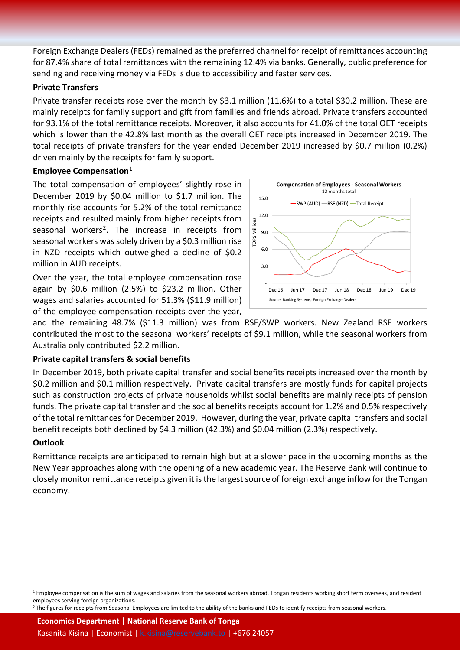Foreign Exchange Dealers (FEDs) remained as the preferred channel for receipt of remittances accounting for 87.4% share of total remittances with the remaining 12.4% via banks. Generally, public preference for sending and receiving money via FEDs is due to accessibility and faster services.

#### **Private Transfers**

Private transfer receipts rose over the month by \$3.1 million (11.6%) to a total \$30.2 million. These are mainly receipts for family support and gift from families and friends abroad. Private transfers accounted for 93.1% of the total remittance receipts. Moreover, it also accounts for 41.0% of the total OET receipts which is lower than the 42.8% last month as the overall OET receipts increased in December 2019. The total receipts of private transfers for the year ended December 2019 increased by \$0.7 million (0.2%) driven mainly by the receipts for family support.

#### **Employee Compensation**[1](#page-1-0)

The total compensation of employees' slightly rose in December 2019 by \$0.04 million to \$1.7 million. The monthly rise accounts for 5.2% of the total remittance receipts and resulted mainly from higher receipts from seasonal workers<sup>[2](#page-1-1)</sup>. The increase in receipts from seasonal workers was solely driven by a \$0.3 million rise in NZD receipts which outweighed a decline of \$0.2 million in AUD receipts.

Over the year, the total employee compensation rose again by \$0.6 million (2.5%) to \$23.2 million. Other wages and salaries accounted for 51.3% (\$11.9 million) of the employee compensation receipts over the year,



and the remaining 48.7% (\$11.3 million) was from RSE/SWP workers. New Zealand RSE workers contributed the most to the seasonal workers' receipts of \$9.1 million, while the seasonal workers from Australia only contributed \$2.2 million.

#### **Private capital transfers & social benefits**

In December 2019, both private capital transfer and social benefits receipts increased over the month by \$0.2 million and \$0.1 million respectively. Private capital transfers are mostly funds for capital projects such as construction projects of private households whilst social benefits are mainly receipts of pension funds. The private capital transfer and the social benefits receipts account for 1.2% and 0.5% respectively of the total remittances for December 2019. However, during the year, private capital transfers and social benefit receipts both declined by \$4.3 million (42.3%) and \$0.04 million (2.3%) respectively.

#### **Outlook**

Remittance receipts are anticipated to remain high but at a slower pace in the upcoming months as the New Year approaches along with the opening of a new academic year. The Reserve Bank will continue to closely monitor remittance receipts given it is the largest source of foreign exchange inflow for the Tongan economy.

**Economics Department | National Reserve Bank of Tonga** Kasanita Kisina | Economist | [k.kisina@reservebank.to](mailto:k.kisina@reservebank.to) | +676 24057

<span id="page-1-0"></span> $1$  Employee compensation is the sum of wages and salaries from the seasonal workers abroad, Tongan residents working short term overseas, and resident employees serving foreign organizations.

<span id="page-1-1"></span><sup>&</sup>lt;sup>2</sup> The figures for receipts from Seasonal Employees are limited to the ability of the banks and FEDs to identify receipts from seasonal workers.